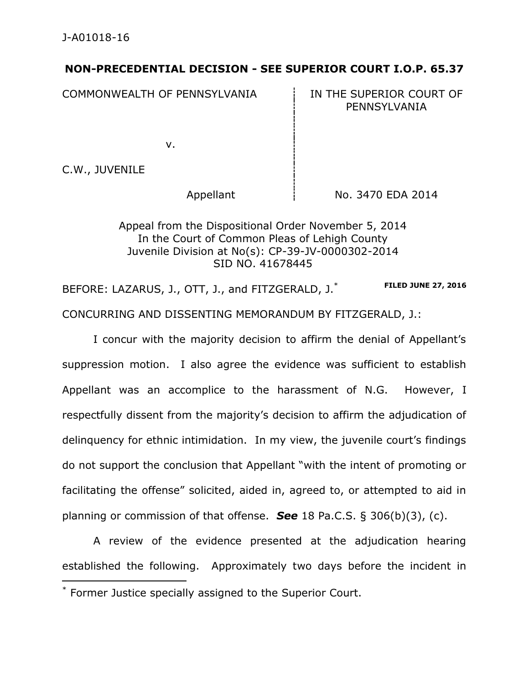## **NON-PRECEDENTIAL DECISION - SEE SUPERIOR COURT I.O.P. 65.37**

COMMONWEALTH OF PENNSYLVANIA **IN THE SUPERIOR COURT OF** 

PENNSYLVANIA

v.

C.W., JUVENILE

Appellant  $\frac{1}{2}$  No. 3470 EDA 2014

Appeal from the Dispositional Order November 5, 2014 In the Court of Common Pleas of Lehigh County Juvenile Division at No(s): CP-39-JV-0000302-2014 SID NO. 41678445

BEFORE: LAZARUS, J., OTT, J., and FITZGERALD, J.<sup>\*</sup> FILED JUNE 27, 2016 CONCURRING AND DISSENTING MEMORANDUM BY FITZGERALD, J.:

I concur with the majority decision to affirm the denial of Appellant's suppression motion. I also agree the evidence was sufficient to establish Appellant was an accomplice to the harassment of N.G. However, I respectfully dissent from the majority's decision to affirm the adjudication of delinquency for ethnic intimidation. In my view, the juvenile court's findings do not support the conclusion that Appellant "with the intent of promoting or facilitating the offense" solicited, aided in, agreed to, or attempted to aid in planning or commission of that offense. *See* 18 Pa.C.S. § 306(b)(3), (c).

A review of the evidence presented at the adjudication hearing established the following. Approximately two days before the incident in  $\overline{a}$ 

<sup>\*</sup> Former Justice specially assigned to the Superior Court.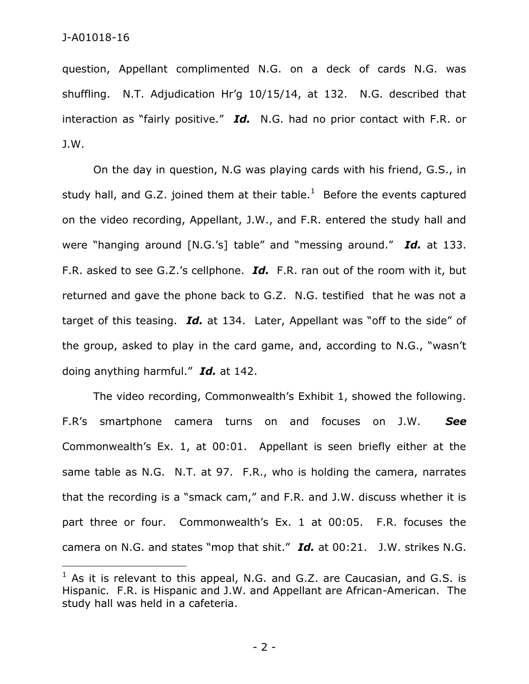$\overline{a}$ 

question, Appellant complimented N.G. on a deck of cards N.G. was shuffling. N.T. Adjudication Hr'g 10/15/14, at 132. N.G. described that interaction as "fairly positive." *Id.* N.G. had no prior contact with F.R. or J.W.

On the day in question, N.G was playing cards with his friend, G.S., in study hall, and G.Z. joined them at their table.<sup>1</sup> Before the events captured on the video recording, Appellant, J.W., and F.R. entered the study hall and were "hanging around [N.G.'s] table" and "messing around." *Id.* at 133. F.R. asked to see G.Z.'s cellphone. *Id.* F.R. ran out of the room with it, but returned and gave the phone back to G.Z. N.G. testified that he was not a target of this teasing. *Id.* at 134. Later, Appellant was "off to the side" of the group, asked to play in the card game, and, according to N.G., "wasn't doing anything harmful." *Id.* at 142.

The video recording, Commonwealth's Exhibit 1, showed the following. F.R's smartphone camera turns on and focuses on J.W. *See* Commonwealth's Ex. 1, at 00:01. Appellant is seen briefly either at the same table as N.G. N.T. at 97. F.R., who is holding the camera, narrates that the recording is a "smack cam," and F.R. and J.W. discuss whether it is part three or four. Commonwealth's Ex. 1 at 00:05. F.R. focuses the camera on N.G. and states "mop that shit." *Id.* at 00:21. J.W. strikes N.G.

- 2 -

 $1$  As it is relevant to this appeal, N.G. and G.Z. are Caucasian, and G.S. is Hispanic. F.R. is Hispanic and J.W. and Appellant are African-American. The study hall was held in a cafeteria.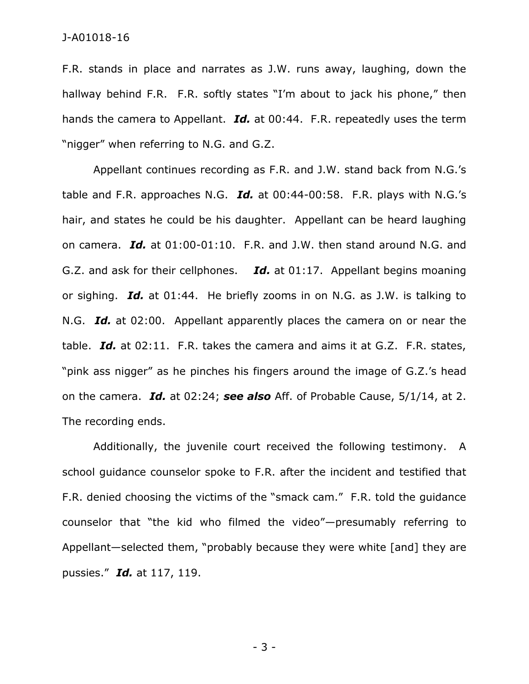## J-A01018-16

F.R. stands in place and narrates as J.W. runs away, laughing, down the hallway behind F.R. F.R. softly states "I'm about to jack his phone," then hands the camera to Appellant. *Id.* at 00:44. F.R. repeatedly uses the term "nigger" when referring to N.G. and G.Z.

Appellant continues recording as F.R. and J.W. stand back from N.G.'s table and F.R. approaches N.G. *Id.* at 00:44-00:58. F.R. plays with N.G.'s hair, and states he could be his daughter. Appellant can be heard laughing on camera. *Id.* at 01:00-01:10. F.R. and J.W. then stand around N.G. and G.Z. and ask for their cellphones. *Id.* at 01:17. Appellant begins moaning or sighing. *Id.* at 01:44. He briefly zooms in on N.G. as J.W. is talking to N.G. *Id.* at 02:00. Appellant apparently places the camera on or near the table. *Id.* at 02:11. F.R. takes the camera and aims it at G.Z. F.R. states, "pink ass nigger" as he pinches his fingers around the image of G.Z.'s head on the camera. *Id.* at 02:24; *see also* Aff. of Probable Cause, 5/1/14, at 2. The recording ends.

Additionally, the juvenile court received the following testimony. A school guidance counselor spoke to F.R. after the incident and testified that F.R. denied choosing the victims of the "smack cam." F.R. told the guidance counselor that "the kid who filmed the video"—presumably referring to Appellant—selected them, "probably because they were white [and] they are pussies." *Id.* at 117, 119.

- 3 -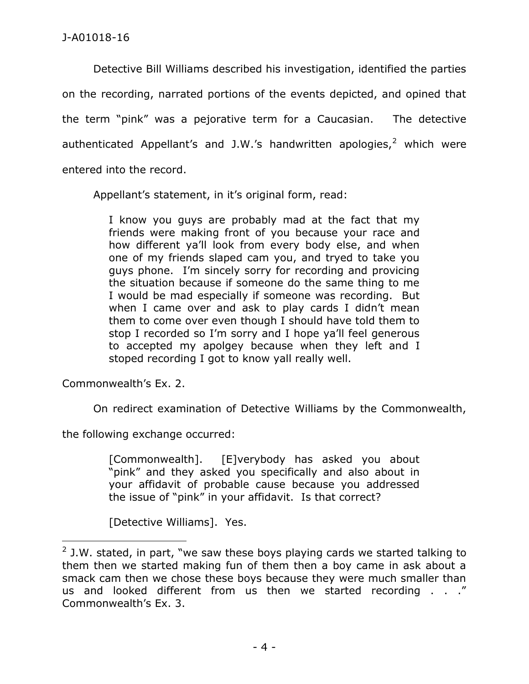Detective Bill Williams described his investigation, identified the parties on the recording, narrated portions of the events depicted, and opined that the term "pink" was a pejorative term for a Caucasian. The detective authenticated Appellant's and J.W.'s handwritten apologies, $<sup>2</sup>$  which were</sup> entered into the record.

Appellant's statement, in it's original form, read:

I know you guys are probably mad at the fact that my friends were making front of you because your race and how different ya'll look from every body else, and when one of my friends slaped cam you, and tryed to take you guys phone. I'm sincely sorry for recording and provicing the situation because if someone do the same thing to me I would be mad especially if someone was recording. But when I came over and ask to play cards I didn't mean them to come over even though I should have told them to stop I recorded so I'm sorry and I hope ya'll feel generous to accepted my apolgey because when they left and I stoped recording I got to know yall really well.

Commonwealth's Ex. 2.

 $\overline{a}$ 

On redirect examination of Detective Williams by the Commonwealth,

the following exchange occurred:

[Commonwealth]. [E]verybody has asked you about "pink" and they asked you specifically and also about in your affidavit of probable cause because you addressed the issue of "pink" in your affidavit. Is that correct?

[Detective Williams]. Yes.

 $2$  J.W. stated, in part, "we saw these boys playing cards we started talking to them then we started making fun of them then a boy came in ask about a smack cam then we chose these boys because they were much smaller than us and looked different from us then we started recording . . ." Commonwealth's Ex. 3.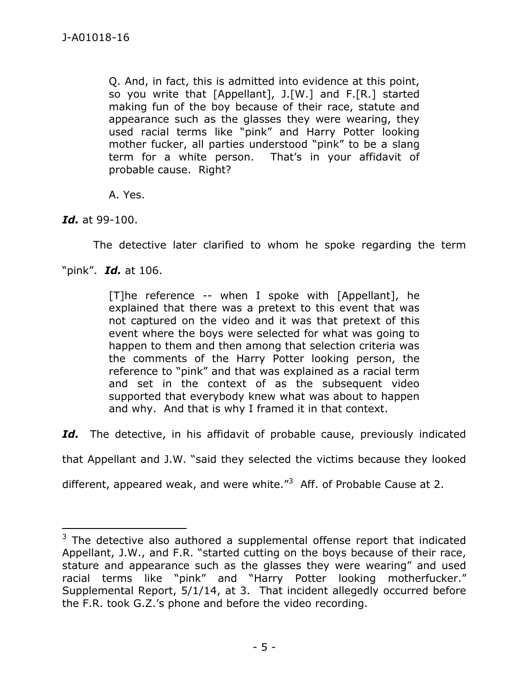Q. And, in fact, this is admitted into evidence at this point, so you write that [Appellant], J.[W.] and F.[R.] started making fun of the boy because of their race, statute and appearance such as the glasses they were wearing, they used racial terms like "pink" and Harry Potter looking mother fucker, all parties understood "pink" to be a slang term for a white person. That's in your affidavit of probable cause. Right?

A. Yes.

*Id.* at 99-100.

 $\overline{a}$ 

The detective later clarified to whom he spoke regarding the term

"pink". *Id.* at 106.

[T]he reference -- when I spoke with [Appellant], he explained that there was a pretext to this event that was not captured on the video and it was that pretext of this event where the boys were selected for what was going to happen to them and then among that selection criteria was the comments of the Harry Potter looking person, the reference to "pink" and that was explained as a racial term and set in the context of as the subsequent video supported that everybody knew what was about to happen and why. And that is why I framed it in that context.

Id. The detective, in his affidavit of probable cause, previously indicated

that Appellant and J.W. "said they selected the victims because they looked

different, appeared weak, and were white. $\mathrm{^{''3}}$  Aff. of Probable Cause at 2.

 $3$  The detective also authored a supplemental offense report that indicated Appellant, J.W., and F.R. "started cutting on the boys because of their race, stature and appearance such as the glasses they were wearing" and used racial terms like "pink" and "Harry Potter looking motherfucker." Supplemental Report, 5/1/14, at 3. That incident allegedly occurred before the F.R. took G.Z.'s phone and before the video recording.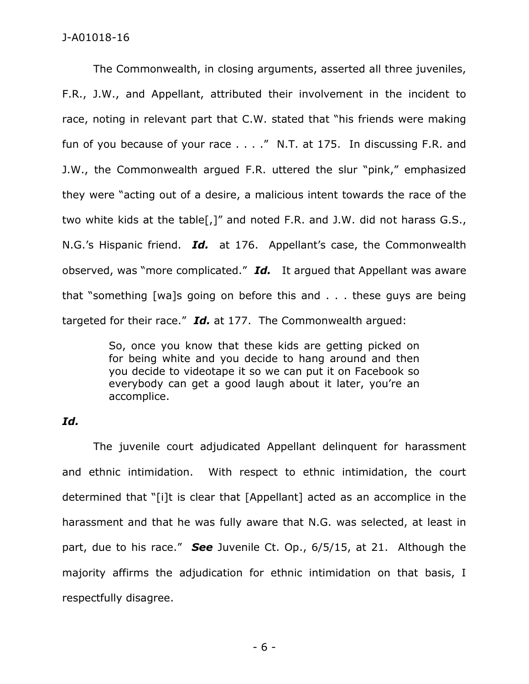The Commonwealth, in closing arguments, asserted all three juveniles, F.R., J.W., and Appellant, attributed their involvement in the incident to race, noting in relevant part that C.W. stated that "his friends were making fun of you because of your race . . . ." N.T. at 175. In discussing F.R. and J.W., the Commonwealth argued F.R. uttered the slur "pink," emphasized they were "acting out of a desire, a malicious intent towards the race of the two white kids at the table[,]" and noted F.R. and J.W. did not harass G.S., N.G.'s Hispanic friend. *Id.* at 176. Appellant's case, the Commonwealth observed, was "more complicated." *Id.* It argued that Appellant was aware that "something [wa]s going on before this and . . . these guys are being targeted for their race." *Id.* at 177. The Commonwealth argued:

> So, once you know that these kids are getting picked on for being white and you decide to hang around and then you decide to videotape it so we can put it on Facebook so everybody can get a good laugh about it later, you're an accomplice.

## *Id.*

The juvenile court adjudicated Appellant delinquent for harassment and ethnic intimidation. With respect to ethnic intimidation, the court determined that "[i]t is clear that [Appellant] acted as an accomplice in the harassment and that he was fully aware that N.G. was selected, at least in part, due to his race." *See* Juvenile Ct. Op., 6/5/15, at 21. Although the majority affirms the adjudication for ethnic intimidation on that basis, I respectfully disagree.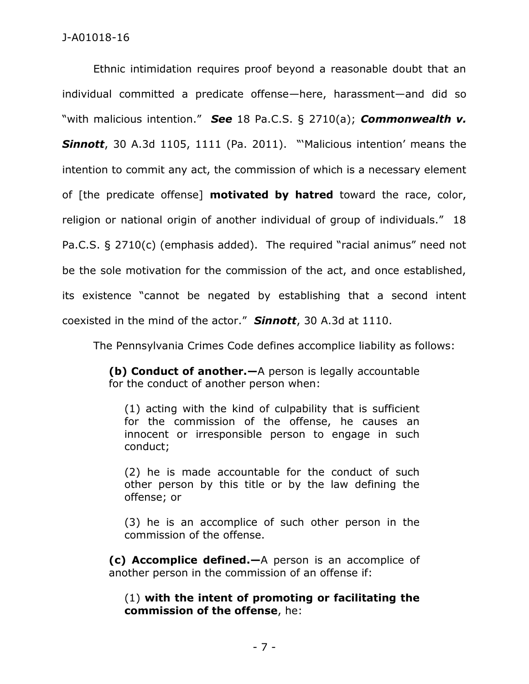Ethnic intimidation requires proof beyond a reasonable doubt that an individual committed a predicate offense—here, harassment—and did so "with malicious intention." *See* 18 Pa.C.S. § 2710(a); *Commonwealth v. Sinnott*, 30 A.3d 1105, 1111 (Pa. 2011). "'Malicious intention' means the intention to commit any act, the commission of which is a necessary element of [the predicate offense] **motivated by hatred** toward the race, color, religion or national origin of another individual of group of individuals." 18 Pa.C.S. § 2710(c) (emphasis added). The required "racial animus" need not be the sole motivation for the commission of the act, and once established, its existence "cannot be negated by establishing that a second intent coexisted in the mind of the actor." *Sinnott*, 30 A.3d at 1110.

The Pennsylvania Crimes Code defines accomplice liability as follows:

**(b) Conduct of another.—**A person is legally accountable for the conduct of another person when:

(1) acting with the kind of culpability that is sufficient for the commission of the offense, he causes an innocent or irresponsible person to engage in such conduct;

(2) he is made accountable for the conduct of such other person by this title or by the law defining the offense; or

(3) he is an accomplice of such other person in the commission of the offense.

**(c) Accomplice defined.—**A person is an accomplice of another person in the commission of an offense if:

(1) **with the intent of promoting or facilitating the commission of the offense**, he: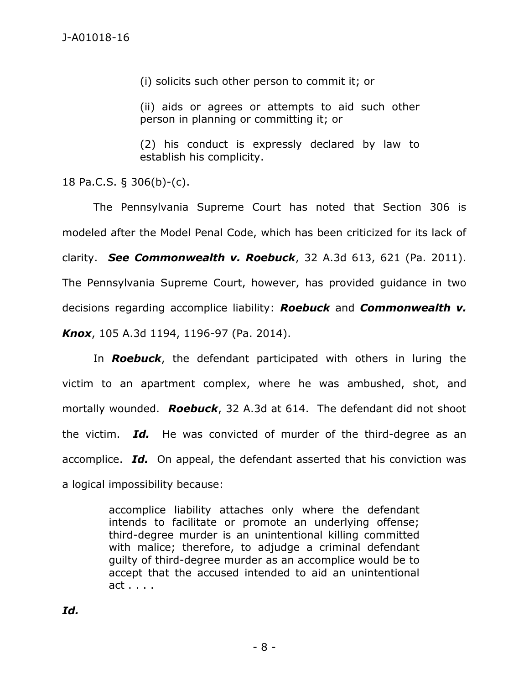(i) solicits such other person to commit it; or

(ii) aids or agrees or attempts to aid such other person in planning or committing it; or

(2) his conduct is expressly declared by law to establish his complicity.

18 Pa.C.S. § 306(b)-(c).

The Pennsylvania Supreme Court has noted that Section 306 is modeled after the Model Penal Code, which has been criticized for its lack of clarity. *See Commonwealth v. Roebuck*, 32 A.3d 613, 621 (Pa. 2011). The Pennsylvania Supreme Court, however, has provided guidance in two decisions regarding accomplice liability: *Roebuck* and *Commonwealth v. Knox*, 105 A.3d 1194, 1196-97 (Pa. 2014).

In *Roebuck*, the defendant participated with others in luring the victim to an apartment complex, where he was ambushed, shot, and mortally wounded. *Roebuck*, 32 A.3d at 614. The defendant did not shoot the victim. *Id.* He was convicted of murder of the third-degree as an accomplice. *Id.* On appeal, the defendant asserted that his conviction was a logical impossibility because:

> accomplice liability attaches only where the defendant intends to facilitate or promote an underlying offense; third-degree murder is an unintentional killing committed with malice; therefore, to adjudge a criminal defendant guilty of third-degree murder as an accomplice would be to accept that the accused intended to aid an unintentional act . . . .

*Id.*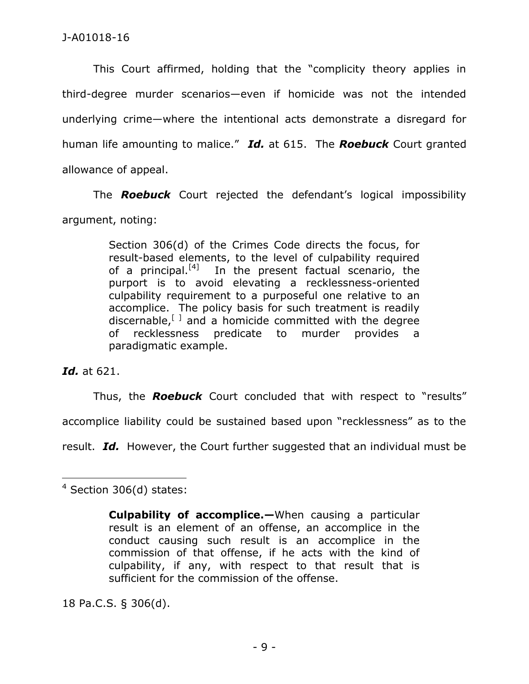This Court affirmed, holding that the "complicity theory applies in third-degree murder scenarios—even if homicide was not the intended underlying crime—where the intentional acts demonstrate a disregard for human life amounting to malice." *Id.* at 615. The *Roebuck* Court granted allowance of appeal.

The *Roebuck* Court rejected the defendant's logical impossibility argument, noting:

> Section 306(d) of the Crimes Code directs the focus, for result-based elements, to the level of culpability required of a principal.<sup>[4]</sup> In the present factual scenario, the purport is to avoid elevating a recklessness-oriented culpability requirement to a purposeful one relative to an accomplice. The policy basis for such treatment is readily discernable,  $\mathbb{F}^{\perp}$  and a homicide committed with the degree of recklessness predicate to murder provides a paradigmatic example.

*Id.* at 621.

Thus, the *Roebuck* Court concluded that with respect to "results" accomplice liability could be sustained based upon "recklessness" as to the result. *Id.* However, the Court further suggested that an individual must be

18 Pa.C.S. § 306(d).

 $\overline{a}$ <sup>4</sup> Section 306(d) states:

**Culpability of accomplice.—**When causing a particular result is an element of an offense, an accomplice in the conduct causing such result is an accomplice in the commission of that offense, if he acts with the kind of culpability, if any, with respect to that result that is sufficient for the commission of the offense.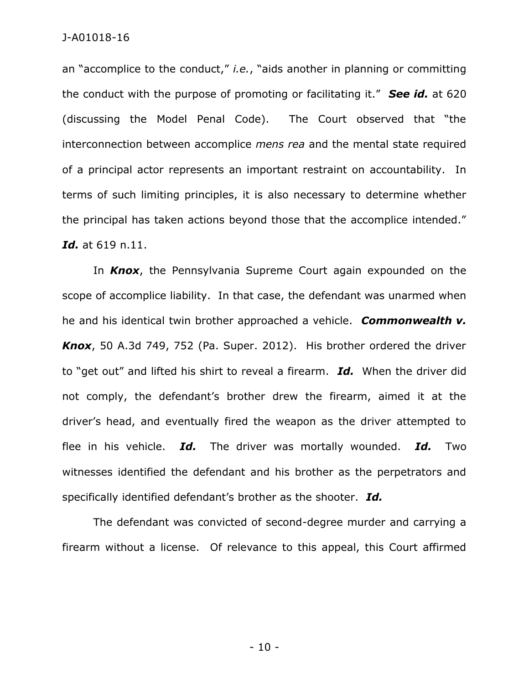an "accomplice to the conduct," *i.e.*, "aids another in planning or committing the conduct with the purpose of promoting or facilitating it." *See id.* at 620 (discussing the Model Penal Code). The Court observed that "the interconnection between accomplice *mens rea* and the mental state required of a principal actor represents an important restraint on accountability. In terms of such limiting principles, it is also necessary to determine whether the principal has taken actions beyond those that the accomplice intended." *Id.* at 619 n.11.

In *Knox*, the Pennsylvania Supreme Court again expounded on the scope of accomplice liability. In that case, the defendant was unarmed when he and his identical twin brother approached a vehicle. *Commonwealth v. Knox*, 50 A.3d 749, 752 (Pa. Super. 2012). His brother ordered the driver to "get out" and lifted his shirt to reveal a firearm. *Id.* When the driver did not comply, the defendant's brother drew the firearm, aimed it at the driver's head, and eventually fired the weapon as the driver attempted to flee in his vehicle. *Id.* The driver was mortally wounded. *Id.* Two witnesses identified the defendant and his brother as the perpetrators and specifically identified defendant's brother as the shooter. *Id.*

The defendant was convicted of second-degree murder and carrying a firearm without a license. Of relevance to this appeal, this Court affirmed

- 10 -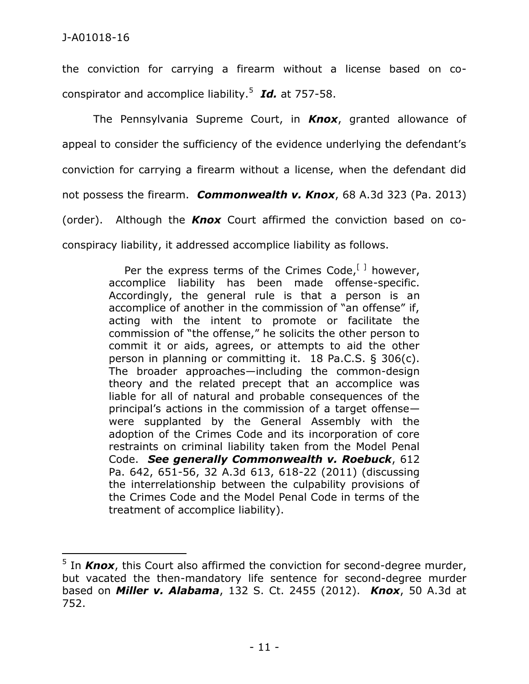$\overline{a}$ 

the conviction for carrying a firearm without a license based on coconspirator and accomplice liability.<sup>5</sup> *Id.* at 757-58.

The Pennsylvania Supreme Court, in *Knox*, granted allowance of appeal to consider the sufficiency of the evidence underlying the defendant's conviction for carrying a firearm without a license, when the defendant did not possess the firearm. *Commonwealth v. Knox*, 68 A.3d 323 (Pa. 2013) (order). Although the *Knox* Court affirmed the conviction based on coconspiracy liability, it addressed accomplice liability as follows.

> Per the express terms of the Crimes Code,  $[1]$  however, accomplice liability has been made offense-specific. Accordingly, the general rule is that a person is an accomplice of another in the commission of "an offense" if, acting with the intent to promote or facilitate the commission of "the offense," he solicits the other person to commit it or aids, agrees, or attempts to aid the other person in planning or committing it. 18 Pa.C.S. § 306(c). The broader approaches—including the common-design theory and the related precept that an accomplice was liable for all of natural and probable consequences of the principal's actions in the commission of a target offense were supplanted by the General Assembly with the adoption of the Crimes Code and its incorporation of core restraints on criminal liability taken from the Model Penal Code. *See generally Commonwealth v. Roebuck*, 612 Pa. 642, 651-56, 32 A.3d 613, 618-22 (2011) (discussing the interrelationship between the culpability provisions of the Crimes Code and the Model Penal Code in terms of the treatment of accomplice liability).

<sup>&</sup>lt;sup>5</sup> In *Knox*, this Court also affirmed the conviction for second-degree murder, but vacated the then-mandatory life sentence for second-degree murder based on *Miller v. Alabama*, 132 S. Ct. 2455 (2012). *Knox*, 50 A.3d at 752.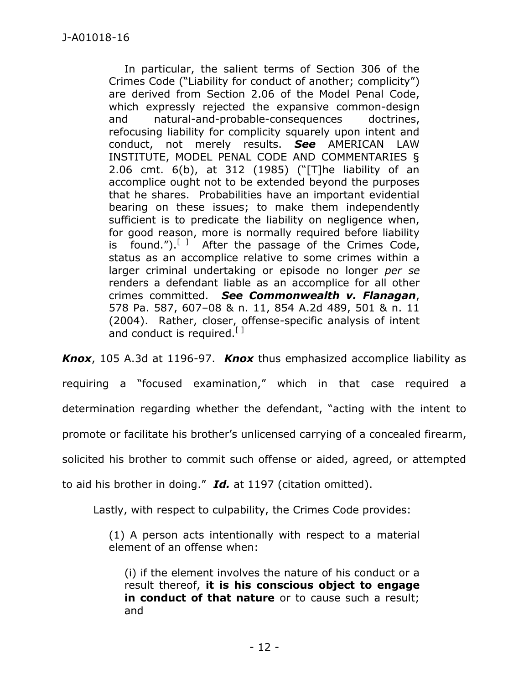In particular, the salient terms of Section 306 of the Crimes Code ("Liability for conduct of another; complicity") are derived from Section 2.06 of the Model Penal Code, which expressly rejected the expansive common-design and natural-and-probable-consequences doctrines, refocusing liability for complicity squarely upon intent and conduct, not merely results. *See* AMERICAN LAW INSTITUTE, MODEL PENAL CODE AND COMMENTARIES § 2.06 cmt. 6(b), at 312 (1985) ("[T]he liability of an accomplice ought not to be extended beyond the purposes that he shares. Probabilities have an important evidential bearing on these issues; to make them independently sufficient is to predicate the liability on negligence when, for good reason, more is normally required before liability is found.").<sup>[]</sup> After the passage of the Crimes Code, status as an accomplice relative to some crimes within a larger criminal undertaking or episode no longer *per se* renders a defendant liable as an accomplice for all other crimes committed. *See Commonwealth v. Flanagan*, 578 Pa. 587, 607–08 & n. 11, 854 A.2d 489, 501 & n. 11 (2004). Rather, closer, offense-specific analysis of intent and conduct is required.  $[1]$ 

*Knox*, 105 A.3d at 1196-97. *Knox* thus emphasized accomplice liability as

requiring a "focused examination," which in that case required a

determination regarding whether the defendant, "acting with the intent to

promote or facilitate his brother's unlicensed carrying of a concealed firearm,

solicited his brother to commit such offense or aided, agreed, or attempted

to aid his brother in doing." *Id.* at 1197 (citation omitted).

Lastly, with respect to culpability, the Crimes Code provides:

(1) A person acts intentionally with respect to a material element of an offense when:

(i) if the element involves the nature of his conduct or a result thereof, **it is his conscious object to engage in conduct of that nature** or to cause such a result; and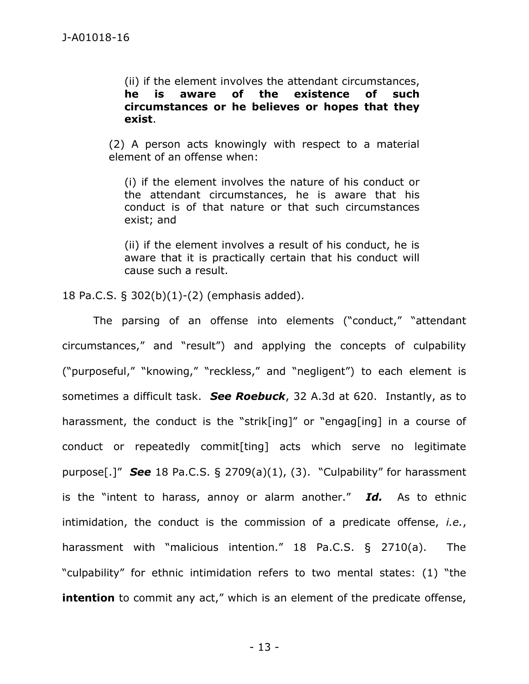(ii) if the element involves the attendant circumstances, **he is aware of the existence of such circumstances or he believes or hopes that they exist**.

(2) A person acts knowingly with respect to a material element of an offense when:

(i) if the element involves the nature of his conduct or the attendant circumstances, he is aware that his conduct is of that nature or that such circumstances exist; and

(ii) if the element involves a result of his conduct, he is aware that it is practically certain that his conduct will cause such a result.

18 Pa.C.S. § 302(b)(1)-(2) (emphasis added).

The parsing of an offense into elements ("conduct," "attendant circumstances," and "result") and applying the concepts of culpability ("purposeful," "knowing," "reckless," and "negligent") to each element is sometimes a difficult task. *See Roebuck*, 32 A.3d at 620. Instantly, as to harassment, the conduct is the "strik[ing]" or "engag[ing] in a course of conduct or repeatedly commit[ting] acts which serve no legitimate purpose[.]" *See* 18 Pa.C.S. § 2709(a)(1), (3). "Culpability" for harassment is the "intent to harass, annoy or alarm another." *Id.* As to ethnic intimidation, the conduct is the commission of a predicate offense, *i.e.*, harassment with "malicious intention." 18 Pa.C.S. § 2710(a). The "culpability" for ethnic intimidation refers to two mental states: (1) "the **intention** to commit any act," which is an element of the predicate offense,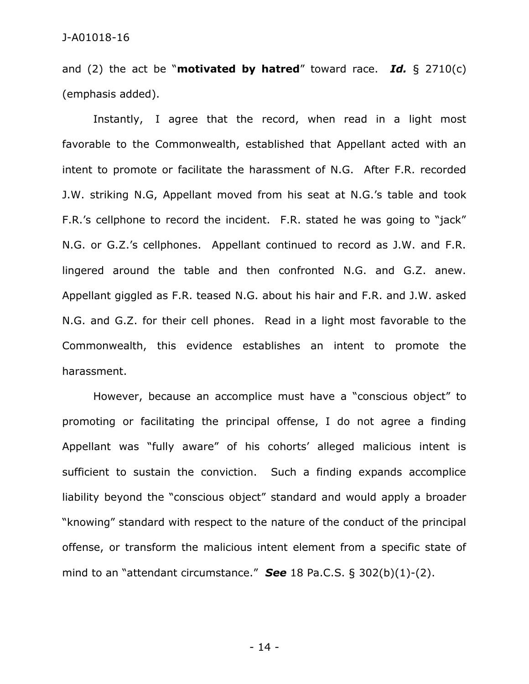and (2) the act be "**motivated by hatred**" toward race. *Id.* § 2710(c) (emphasis added).

Instantly, I agree that the record, when read in a light most favorable to the Commonwealth, established that Appellant acted with an intent to promote or facilitate the harassment of N.G. After F.R. recorded J.W. striking N.G, Appellant moved from his seat at N.G.'s table and took F.R.'s cellphone to record the incident. F.R. stated he was going to "jack" N.G. or G.Z.'s cellphones. Appellant continued to record as J.W. and F.R. lingered around the table and then confronted N.G. and G.Z. anew. Appellant giggled as F.R. teased N.G. about his hair and F.R. and J.W. asked N.G. and G.Z. for their cell phones. Read in a light most favorable to the Commonwealth, this evidence establishes an intent to promote the harassment.

However, because an accomplice must have a "conscious object" to promoting or facilitating the principal offense, I do not agree a finding Appellant was "fully aware" of his cohorts' alleged malicious intent is sufficient to sustain the conviction. Such a finding expands accomplice liability beyond the "conscious object" standard and would apply a broader "knowing" standard with respect to the nature of the conduct of the principal offense, or transform the malicious intent element from a specific state of mind to an "attendant circumstance." *See* 18 Pa.C.S. § 302(b)(1)-(2).